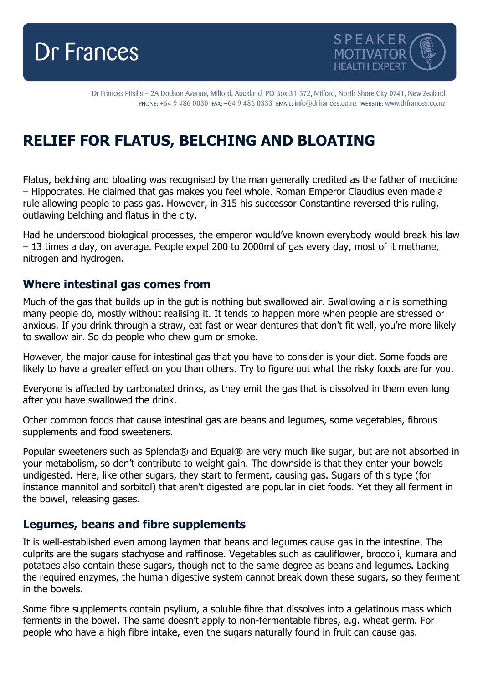



Dr Frances Pitsilis - 2A Dodson Avenue, Milford, Auckland PO Box 31-572, Milford, North Shore City 0741, New Zealand PHONE: +64 9 486 0030 FAX: +64 9 486 0333 EMAIL: info@drfrances.co.nz wEBSITE: www.drfrances.co.nz

# **RELIEF FOR FLATUS, BELCHING AND BLOATING**

Flatus, belching and bloating was recognised by the man generally credited as the father of medicine – Hippocrates. He claimed that gas makes you feel whole. Roman Emperor Claudius even made a rule allowing people to pass gas. However, in 315 his successor Constantine reversed this ruling, outlawing belching and flatus in the city.

Had he understood biological processes, the emperor would've known everybody would break his law – 13 times a day, on average. People expel 200 to 2000ml of gas every day, most of it methane, nitrogen and hydrogen.

## **Where intestinal gas comes from**

Much of the gas that builds up in the gut is nothing but swallowed air. Swallowing air is something many people do, mostly without realising it. It tends to happen more when people are stressed or anxious. If you drink through a straw, eat fast or wear dentures that don't fit well, you're more likely to swallow air. So do people who chew gum or smoke.

However, the major cause for intestinal gas that you have to consider is your diet. Some foods are likely to have a greater effect on you than others. Try to figure out what the risky foods are for you.

Everyone is affected by carbonated drinks, as they emit the gas that is dissolved in them even long after you have swallowed the drink.

Other common foods that cause intestinal gas are beans and legumes, some vegetables, fibrous supplements and food sweeteners.

Popular sweeteners such as Splenda® and Equal® are very much like sugar, but are not absorbed in your metabolism, so don't contribute to weight gain. The downside is that they enter your bowels undigested. Here, like other sugars, they start to ferment, causing gas. Sugars of this type (for instance mannitol and sorbitol) that aren't digested are popular in diet foods. Yet they all ferment in the bowel, releasing gases.

#### **Legumes, beans and fibre supplements**

It is well-established even among laymen that beans and legumes cause gas in the intestine. The culprits are the sugars stachyose and raffinose. Vegetables such as cauliflower, broccoli, kumara and potatoes also contain these sugars, though not to the same degree as beans and legumes. Lacking the required enzymes, the human digestive system cannot break down these sugars, so they ferment in the bowels.

Some fibre supplements contain psylium, a soluble fibre that dissolves into a gelatinous mass which ferments in the bowel. The same doesn't apply to non-fermentable fibres, e.g. wheat germ. For people who have a high fibre intake, even the sugars naturally found in fruit can cause gas.